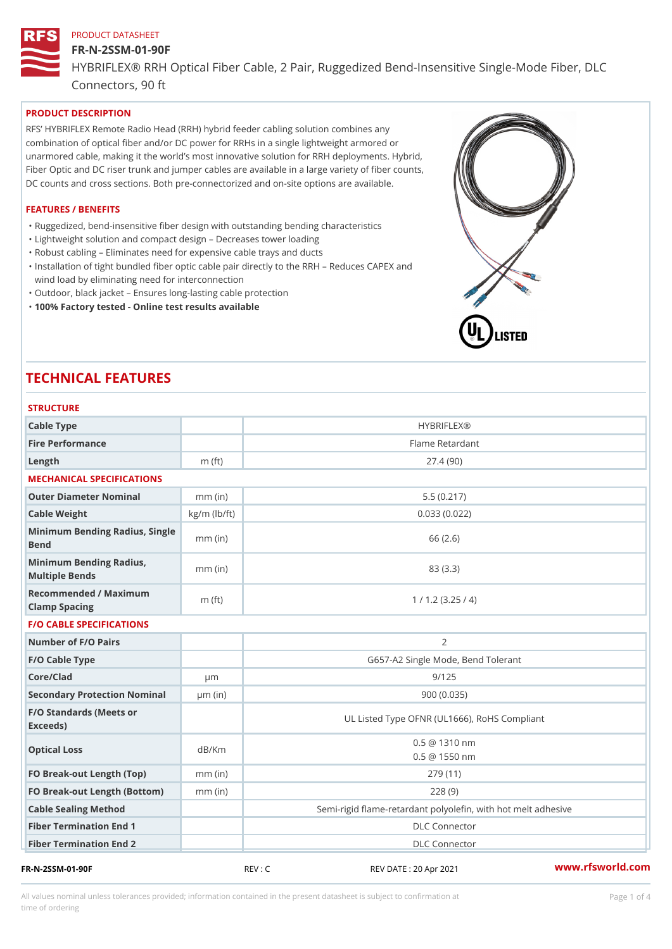### FR-N-2SSM-01-90F

HYBRIFLEX® RRH Optical Fiber Cable, 2 Pair, Ruggedized Bend-Insens Connectors, 90 ft

# PRODUCT DESCRIPTION

RFS HYBRIFLEX Remote Radio Head (RRH) hybrid feeder cabling solution combines any combination of optical fiber and/or DC power for RRHs in a single lightweight armored or unarmored cable, making it the world s most innovative solution for RRH deployments. Hybrid, Fiber Optic and DC riser trunk and jumper cables are available in a large variety of fiber counts, DC counts and cross sections. Both pre-connectorized and on-site options are available.

### FEATURES / BENEFITS

"Ruggedized, bend-insensitive fiber design with outstanding bending characteristics

- "Lightweight solution and compact design Decreases tower loading
- "Robust cabling Eliminates need for expensive cable trays and ducts
- "Installation of tight bundled fiber optic cable pair directly to the RRH Aeduces CAPEX and wind load by eliminating need for interconnection
- "Outdoor, black jacket Ensures long-lasting cable protection
- "100% Factory tested Online test results available

# TECHNICAL FEATURES

| <b>STRUCTURE</b>                                  |                    |                                                         |
|---------------------------------------------------|--------------------|---------------------------------------------------------|
| Cable Type                                        |                    | <b>HYBRIFLEX®</b>                                       |
| Fire Performance                                  |                    | Flame Retardant                                         |
| Length                                            | $m$ (ft)           | 27.4(90)                                                |
| MECHANICAL SPECIFICATIONS                         |                    |                                                         |
| Outer Diameter Nominal                            | $mm$ (in)          | 5.5(0.217)                                              |
| Cable Weight                                      | $kg/m$ ( $lb/ft$ ) | 0.033(0.022)                                            |
| Minimum Bending Radius, Single<br>Bend            | $mm$ (in           | 66 (2.6)                                                |
| Minimum Bending Radius, mm (in)<br>Multiple Bends |                    | 83 (3.3)                                                |
| Recommended / Maximum<br>Clamp Spacing            | $m$ (ft)           | 1 / 1.2 (3.25 / 4)                                      |
| <b>F/O CABLE SPECIFICATIONS</b>                   |                    |                                                         |
| Number of F/O Pairs                               |                    | 2                                                       |
| F/O Cable Type                                    |                    | G657-A2 Single Mode, Bend Tolerant                      |
| Core/Clad                                         | $\mu$ m            | 9/125                                                   |
| Secondary Protection Nomimal(in)                  |                    | 900 (0.035)                                             |
| F/O Standards (Meets or<br>Exceeds)               |                    | UL Listed Type OFNR (UL1666), RoHS Compliant            |
| Optical Loss                                      | dB/Km              | $0.5 \ @ \ 1310 \ nm$<br>0.5 @ 1550 nm                  |
| FO Break-out Length (Top)mm (in)                  |                    | 279 (11)                                                |
| FO Break-out Length (Bottomm) (in)                |                    | 228(9)                                                  |
| Cable Sealing Method                              |                    | Semi-rigid flame-retardant polyolefin, with hot melt ad |
| Fiber Termination End                             |                    | <b>DLC</b> Connector                                    |
| Fiber Termination End 2                           |                    | <b>DLC</b> Connector                                    |
| FR-N-2SSM-01-90F                                  |                    | www.rfsworld.co<br>REV : C<br>REV DATE: 20 Apr 2021     |

All values nominal unless tolerances provided; information contained in the present datasheet is subject to Pcapgeligimation time of ordering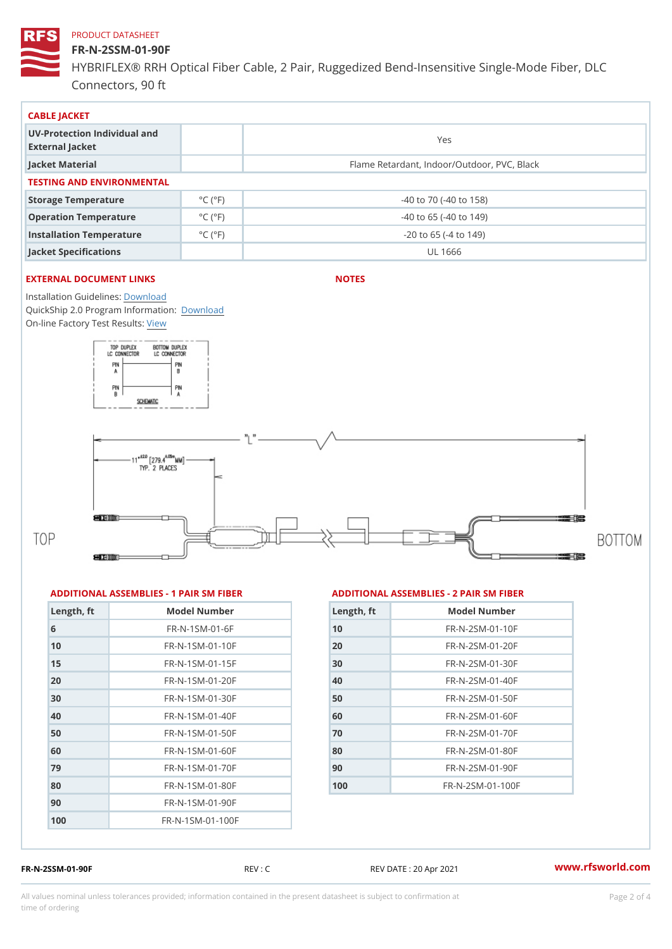# FR-N-2SSM-01-90F

HYBRIFLEX® RRH Optical Fiber Cable, 2 Pair, Ruggedized Bend-Insens Connectors, 90 ft

| CABLE JACKET                                    |                             |                                             |  |  |  |
|-------------------------------------------------|-----------------------------|---------------------------------------------|--|--|--|
| UV-Protection Individual and<br>External Jacket |                             | Yes                                         |  |  |  |
| Jacket Material                                 |                             | Flame Retardant, Indoor/Outdoor, PVC, Black |  |  |  |
| TESTING AND ENVIRONMENTAL                       |                             |                                             |  |  |  |
| Storage Temperature                             | $^{\circ}$ C ( $^{\circ}$ F | $-40$ to $70$ ( $-40$ to $158$ )            |  |  |  |
| Operation Temperature                           | $^{\circ}$ C ( $^{\circ}$ F | $-40$ to 65 ( $-40$ to 149)                 |  |  |  |
| Installation Temperature                        | $^{\circ}$ C ( $^{\circ}$ F | $-20$ to 65 ( $-4$ to 149)                  |  |  |  |
| Jacket Specifications                           |                             | UL 1666                                     |  |  |  |

# EXTERNAL DOCUMENT LINKS

NOTES

Installation Guidelwinessad QuickShip 2.0 Program [Informa](http://www.rfsworld.com/images/hybriflex/quickship_program_2.pdf)tion: On-line Factory Te[s](https://www.rfsworld.com/pictures/userfiles/programs/AAST Latest Version.zip)teResults:

#### ADDITIONAL ASSEMBLIES - 1 PAIR SM FIBERED DITIONAL ASSEMBLIES - 2 PAIR SM FIBER

| Length, ft | Model Number                  |
|------------|-------------------------------|
| 6          | $FR - N - 1$ S M - 01 - 6 F   |
| 10         | $FR - N - 1$ S M - 01 - 10 F  |
| 15         | $FR - N - 1$ S M - 01 - 15 F  |
| 20         | $FR - N - 1$ S M - 01 - 20 F  |
| 30         | FR-N-1SM-01-30F               |
| 40         | $FR - N - 1$ S M - 01 - 40 F  |
| 50         | $FR - N - 1$ S M - 01 - 50 F  |
| 60         | $FR - N - 1$ S M - 01 - 60 F  |
| 79         | $FR - N - 1$ S M - 01 - 70 F  |
| 80         | $FR - N - 1$ S M - 01 - 80 F  |
| 90         | $FR - N - 1 S M - 01 - 90 F$  |
| 100        | $FR - N - 1$ S M - 01 - 100 F |

| Length, ft     | Model Number                 |
|----------------|------------------------------|
| 1 <sub>0</sub> | $FR - N - 2 S M - 01 - 10 F$ |
| 20             | $FR - N - 2 SM - 01 - 20 F$  |
| 30             | $FR - N - 2 SM - 01 - 30 F$  |
| 40             | FR-N-2SM-01-40F              |
| 50             | $FR - N - 2 SM - 01 - 50 F$  |
| 60             | $FR - N - 2 SM - 01 - 60 F$  |
| 7 Q            | FR-N-2SM-01-70F              |
| 80             | $FR - N - 2 SM - 01 - 80 F$  |
| 90             | $FR - N - 2 S M - 01 - 90 F$ |
| 100            | FR-N-2SM-01-100F             |

FR-N-2SSM-01-90F REV : C REV DATE : 20 Apr 2021 [www.](https://www.rfsworld.com)rfsworld.com

All values nominal unless tolerances provided; information contained in the present datasheet is subject to Pcapgelio an atio time of ordering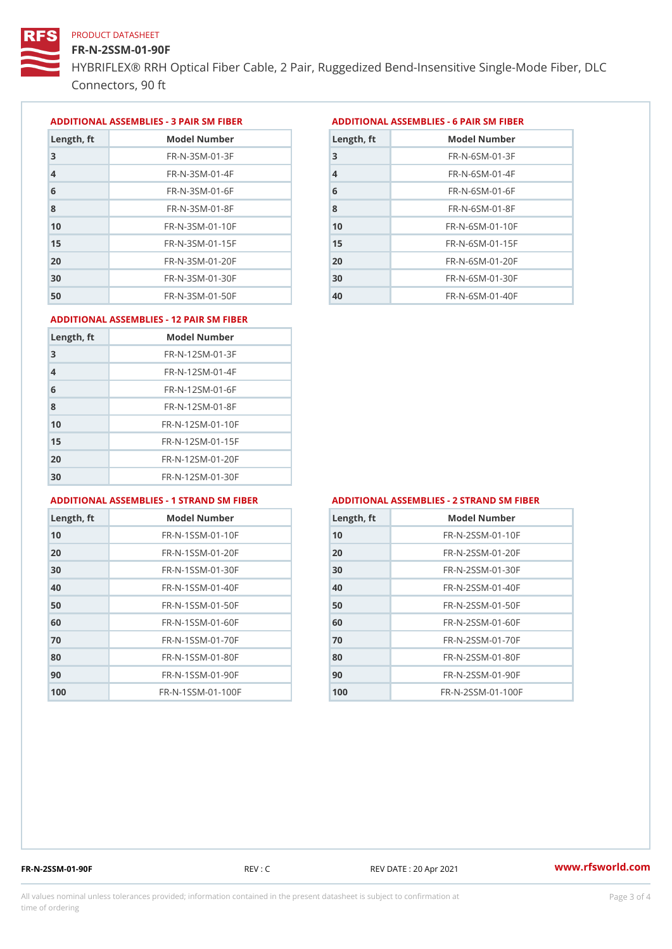### FR-N-2SSM-01-90F

HYBRIFLEX® RRH Optical Fiber Cable, 2 Pair, Ruggedized Bend-Insens Connectors, 90 ft

ADDITIONAL ASSEMBLIES - 3 PAIR SM FIBERED DITIONAL ASSEMBLIES - 6 PAIR SM FIBER

| Length, ft     | Model Number                 |
|----------------|------------------------------|
| 3              | $FR - N - 3 S M - 01 - 3 F$  |
| $\overline{4}$ | $FR - N - 3 S M - 01 - 4 F$  |
| 6              | $FR - N - 3 S M - 01 - 6 F$  |
| 8              | $FR - N - 3.5 M - 0.1 - 8 F$ |
| 10             | $FR - N - 3 S M - 01 - 10 F$ |
| 15             | $FR - N - 3 S M - 01 - 15 F$ |
| 20             | $FR - N - 3 S M - 01 - 20 F$ |
| 30             | $FR - N - 3 S M - 01 - 30 F$ |
| 50             | $FR - N - 3 S M - 01 - 50 F$ |

| Model Number<br>Length, ft   |
|------------------------------|
| $FR - N - 6 S M - 01 - 3 F$  |
| $FR - N - 6$ S M - 01 - 4 F  |
| $FR - N - 6 S M - 01 - 6 F$  |
| $FR - N - 6$ S M - 01 - 8 F  |
| $FR - N - 6$ S M - 01 - 10 F |
| $FR - N - 6$ S M - 01 - 15 F |
| $FR - N - 6 SM - 01 - 20 F$  |
| $FR - N - 6$ S M - 01 - 30 F |
| $FR - N - 6 SM - 01 - 40 F$  |
|                              |

#### ADDITIONAL ASSEMBLIES - 12 PAIR SM FIBER

| Length, ft     | Model Number                 |
|----------------|------------------------------|
| 3              | $FR - N - 12SM - 01 - 3F$    |
| $\overline{4}$ | $FR - N - 12SM - 01 - 4F$    |
| 6              | $FR - N - 12$ S M - 01 - 6 F |
| 8              | $FR - N - 12$ S M - 01 - 8 F |
| 10             | FR-N-12SM-01-10F             |
| 15             | FR-N-12SM-01-15F             |
| 20             | FR-N-12SM-01-20F             |
| 30             | FR-N-12SM-01-30F             |

#### ADDITIONAL ASSEMBLIES - 1 STRAND SM FABSDRTIONAL ASSEMBLIES - 2 STRAND SM FIBER

| Length, ft     | Model Number                   |
|----------------|--------------------------------|
| 1 <sub>0</sub> | FR-N-1SSM-01-10F               |
| 20             | FR-N-1SSM-01-20F               |
| 30             | FR-N-1SSM-01-30F               |
| 40             | FR-N-1SSM-01-40F               |
| 50             | FR-N-1SSM-01-50F               |
| 60             | $FR - N - 1$ S S M - 01 - 60 F |
| 70             | FR-N-1SSM-01-70F               |
| 80             | FR-N-1SSM-01-80F               |
| 90             | FR-N-1SSM-01-90F               |
| 100            | FR-N-1SSM-01-100F              |

| Length, ft | Model Number                   |
|------------|--------------------------------|
| 10         | FR-N-2SSM-01-10F               |
| 20         | FR-N-2SSM-01-20F               |
| 30         | FR-N-2SSM-01-30F               |
| 40         | FR-N-2SSM-01-40F               |
| 50         | FR-N-2SSM-01-50F               |
| 60         | FR-N-2SSM-01-60F               |
| 70         | FR-N-2SSM-01-70F               |
| 80         | $FR - N - 2 S S M - 01 - 80 F$ |
| 90         | $FR - N - 2 S S M - 01 - 90 F$ |
| 100        | FR-N-2SSM-01-100F              |

FR-N-2SSM-01-90F REV : C REV DATE : 20 Apr 2021 [www.](https://www.rfsworld.com)rfsworld.com

All values nominal unless tolerances provided; information contained in the present datasheet is subject to Pcapgeling that i time of ordering